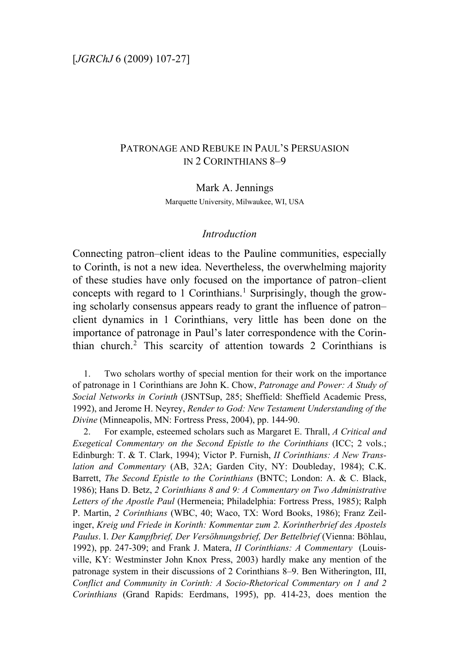# PATRONAGE AND REBUKE IN PAUL'S PERSUASION IN 2 CORINTHIANS 8–9

Mark A. Jennings Marquette University, Milwaukee, WI, USA

#### *Introduction*

Connecting patron–client ideas to the Pauline communities, especially to Corinth, is not a new idea. Nevertheless, the overwhelming majority of these studies have only focused on the importance of patron–client concepts with regard to [1](#page-0-0) Corinthians.<sup>1</sup> Surprisingly, though the growing scholarly consensus appears ready to grant the influence of patron– client dynamics in 1 Corinthians, very little has been done on the importance of patronage in Paul's later correspondence with the Corinthian church.[2](#page-0-1) This scarcity of attention towards 2 Corinthians is

<span id="page-0-0"></span>1. Two scholars worthy of special mention for their work on the importance of patronage in 1 Corinthians are John K. Chow, *Patronage and Power: A Study of Social Networks in Corinth* (JSNTSup, 285; Sheffield: Sheffield Academic Press, 1992), and Jerome H. Neyrey, *Render to God: New Testament Understanding of the Divine* (Minneapolis, MN: Fortress Press, 2004), pp. 144-90.

<span id="page-0-1"></span>2. For example, esteemed scholars such as Margaret E. Thrall, *A Critical and Exegetical Commentary on the Second Epistle to the Corinthians* (ICC; 2 vols.; Edinburgh: T. & T. Clark, 1994); Victor P. Furnish, *II Corinthians: A New Translation and Commentary* (AB, 32A; Garden City, NY: Doubleday, 1984); C.K. Barrett, *The Second Epistle to the Corinthians* (BNTC; London: A. & C. Black, 1986); Hans D. Betz, *2 Corinthians 8 and 9: A Commentary on Two Administrative Letters of the Apostle Paul* (Hermeneia; Philadelphia: Fortress Press, 1985); Ralph P. Martin, *2 Corinthians* (WBC, 40; Waco, TX: Word Books, 1986); Franz Zeilinger, *Kreig und Friede in Korinth: Kommentar zum 2. Korintherbrief des Apostels Paulus*. I. *Der Kampfbrief, Der Versöhnungsbrief, Der Bettelbrief* (Vienna: Böhlau, 1992), pp. 247-309; and Frank J. Matera, *II Corinthians: A Commentary* (Louisville, KY: Westminster John Knox Press, 2003) hardly make any mention of the patronage system in their discussions of 2 Corinthians 8–9. Ben Witherington, III, *Conflict and Community in Corinth: A Socio-Rhetorical Commentary on 1 and 2 Corinthians* (Grand Rapids: Eerdmans, 1995), pp. 414-23, does mention the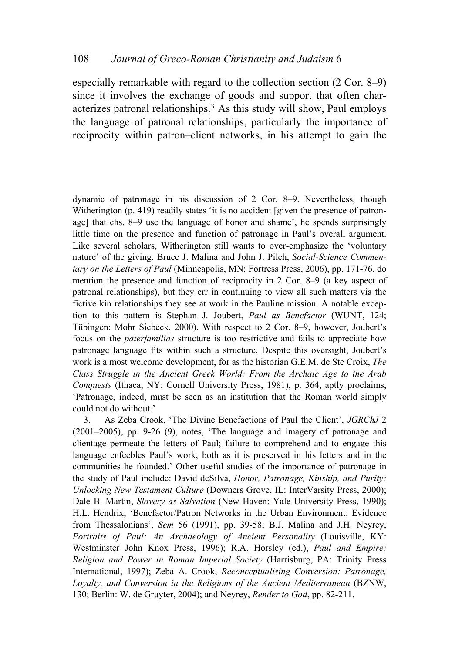especially remarkable with regard to the collection section (2 Cor. 8–9) since it involves the exchange of goods and support that often char-acterizes patronal relationships.<sup>[3](#page-1-0)</sup> As this study will show, Paul employs the language of patronal relationships, particularly the importance of reciprocity within patron–client networks, in his attempt to gain the

dynamic of patronage in his discussion of 2 Cor. 8–9. Nevertheless, though Witherington (p. 419) readily states 'it is no accident [given the presence of patronage] that chs. 8–9 use the language of honor and shame', he spends surprisingly little time on the presence and function of patronage in Paul's overall argument. Like several scholars, Witherington still wants to over-emphasize the 'voluntary nature' of the giving. Bruce J. Malina and John J. Pilch, *Social-Science Commentary on the Letters of Paul* (Minneapolis, MN: Fortress Press, 2006), pp. 171-76, do mention the presence and function of reciprocity in 2 Cor. 8–9 (a key aspect of patronal relationships), but they err in continuing to view all such matters via the fictive kin relationships they see at work in the Pauline mission. A notable exception to this pattern is Stephan J. Joubert, *Paul as Benefactor* (WUNT, 124; Tübingen: Mohr Siebeck, 2000). With respect to 2 Cor. 8–9, however, Joubert's focus on the *paterfamilias* structure is too restrictive and fails to appreciate how patronage language fits within such a structure. Despite this oversight, Joubert's work is a most welcome development, for as the historian G.E.M. de Ste Croix, *The Class Struggle in the Ancient Greek World: From the Archaic Age to the Arab Conquests* (Ithaca, NY: Cornell University Press, 1981), p. 364, aptly proclaims, 'Patronage, indeed, must be seen as an institution that the Roman world simply could not do without.'

<span id="page-1-0"></span>3. As Zeba Crook, 'The Divine Benefactions of Paul the Client', *JGRChJ* 2 (2001–2005), pp. 9-26 (9), notes, 'The language and imagery of patronage and clientage permeate the letters of Paul; failure to comprehend and to engage this language enfeebles Paul's work, both as it is preserved in his letters and in the communities he founded.' Other useful studies of the importance of patronage in the study of Paul include: David deSilva, *Honor, Patronage, Kinship, and Purity: Unlocking New Testament Culture* (Downers Grove, IL: InterVarsity Press, 2000); Dale B. Martin, *Slavery as Salvation* (New Haven: Yale University Press, 1990); H.L. Hendrix, 'Benefactor/Patron Networks in the Urban Environment: Evidence from Thessalonians', *Sem* 56 (1991), pp. 39-58; B.J. Malina and J.H. Neyrey, *Portraits of Paul: An Archaeology of Ancient Personality* (Louisville, KY: Westminster John Knox Press, 1996); R.A. Horsley (ed.), *Paul and Empire: Religion and Power in Roman Imperial Society* (Harrisburg, PA: Trinity Press International, 1997); Zeba A. Crook, *Reconceptualising Conversion: Patronage, Loyalty, and Conversion in the Religions of the Ancient Mediterranean* (BZNW, 130; Berlin: W. de Gruyter, 2004); and Neyrey, *Render to God*, pp. 82-211.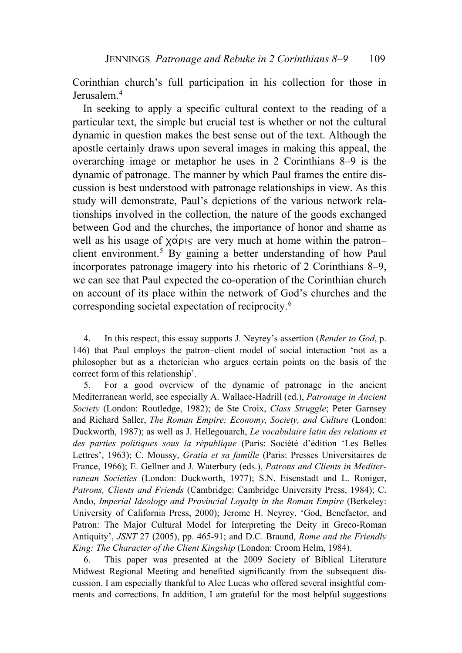Corinthian church's full participation in his collection for those in Jerusalem.<sup>[4](#page-2-0)</sup>

In seeking to apply a specific cultural context to the reading of a particular text, the simple but crucial test is whether or not the cultural dynamic in question makes the best sense out of the text. Although the apostle certainly draws upon several images in making this appeal, the overarching image or metaphor he uses in 2 Corinthians 8–9 is the dynamic of patronage. The manner by which Paul frames the entire discussion is best understood with patronage relationships in view. As this study will demonstrate, Paul's depictions of the various network relationships involved in the collection, the nature of the goods exchanged between God and the churches, the importance of honor and shame as well as his usage of  $\chi \alpha \rho \nu \varsigma$  are very much at home within the patron– client environment.<sup>[5](#page-2-1)</sup> By gaining a better understanding of how Paul incorporates patronage imagery into his rhetoric of 2 Corinthians 8–9, we can see that Paul expected the co-operation of the Corinthian church on account of its place within the network of God's churches and the corresponding societal expectation of reciprocity.[6](#page-2-2)

<span id="page-2-0"></span>4. In this respect, this essay supports J. Neyrey's assertion (*Render to God*, p. 146) that Paul employs the patron–client model of social interaction 'not as a philosopher but as a rhetorician who argues certain points on the basis of the correct form of this relationship'.

<span id="page-2-1"></span>5. For a good overview of the dynamic of patronage in the ancient Mediterranean world, see especially A. Wallace-Hadrill (ed.), *Patronage in Ancient Society* (London: Routledge, 1982); de Ste Croix, *Class Struggle*; Peter Garnsey and Richard Saller, *The Roman Empire: Economy, Society, and Culture* (London: Duckworth, 1987); as well as J. Hellegouarch, *Le vocabulaire latin des relations et des parties politiques sous la république* (Paris: Société d'édition 'Les Belles Lettres', 1963); C. Moussy, *Gratia et sa famille* (Paris: Presses Universitaires de France, 1966); E. Gellner and J. Waterbury (eds.), *Patrons and Clients in Mediterranean Societies* (London: Duckworth, 1977); S.N. Eisenstadt and L. Roniger, *Patrons, Clients and Friends* (Cambridge: Cambridge University Press, 1984); C. Ando, *Imperial Ideology and Provincial Loyalty in the Roman Empire* (Berkeley: University of California Press, 2000); Jerome H. Neyrey, 'God, Benefactor, and Patron: The Major Cultural Model for Interpreting the Deity in Greco-Roman Antiquity', *JSNT* 27 (2005), pp. 465-91; and D.C. Braund, *Rome and the Friendly King: The Character of the Client Kingship* (London: Croom Helm, 1984).

<span id="page-2-2"></span>6. This paper was presented at the 2009 Society of Biblical Literature Midwest Regional Meeting and benefited significantly from the subsequent discussion. I am especially thankful to Alec Lucas who offered several insightful comments and corrections. In addition, I am grateful for the most helpful suggestions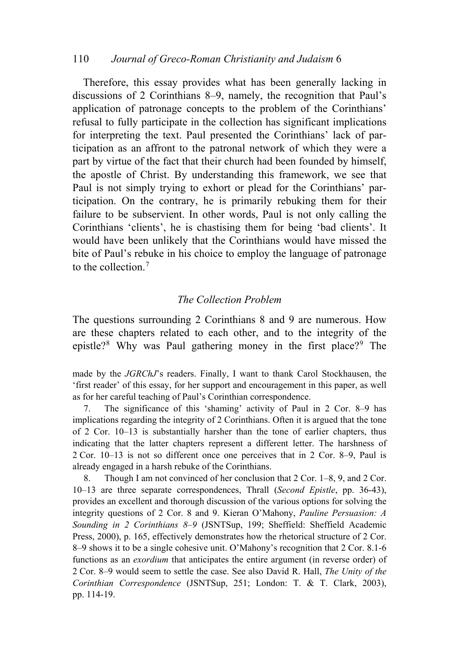#### 110 *Journal of Greco-Roman Christianity and Judaism* 6

Therefore, this essay provides what has been generally lacking in discussions of 2 Corinthians 8–9, namely, the recognition that Paul's application of patronage concepts to the problem of the Corinthians' refusal to fully participate in the collection has significant implications for interpreting the text. Paul presented the Corinthians' lack of participation as an affront to the patronal network of which they were a part by virtue of the fact that their church had been founded by himself, the apostle of Christ. By understanding this framework, we see that Paul is not simply trying to exhort or plead for the Corinthians' participation. On the contrary, he is primarily rebuking them for their failure to be subservient. In other words, Paul is not only calling the Corinthians 'clients', he is chastising them for being 'bad clients'. It would have been unlikely that the Corinthians would have missed the bite of Paul's rebuke in his choice to employ the language of patronage to the collection.[7](#page-3-0)

#### *The Collection Problem*

The questions surrounding 2 Corinthians 8 and 9 are numerous. How are these chapters related to each other, and to the integrity of the epistle?<sup>[8](#page-3-1)</sup> Why was Paul gathering money in the first place?<sup>[9](#page-3-2)</sup> The

made by the *JGRChJ*'s readers. Finally, I want to thank Carol Stockhausen, the 'first reader' of this essay, for her support and encouragement in this paper, as well as for her careful teaching of Paul's Corinthian correspondence.

<span id="page-3-0"></span>7. The significance of this 'shaming' activity of Paul in 2 Cor. 8–9 has implications regarding the integrity of 2 Corinthians. Often it is argued that the tone of 2 Cor. 10–13 is substantially harsher than the tone of earlier chapters, thus indicating that the latter chapters represent a different letter. The harshness of 2 Cor. 10–13 is not so different once one perceives that in 2 Cor. 8–9, Paul is already engaged in a harsh rebuke of the Corinthians.

<span id="page-3-2"></span><span id="page-3-1"></span>8. Though I am not convinced of her conclusion that 2 Cor. 1–8, 9, and 2 Cor. 10–13 are three separate correspondences, Thrall (*Second Epistle*, pp. 36-43), provides an excellent and thorough discussion of the various options for solving the integrity questions of 2 Cor. 8 and 9. Kieran O'Mahony, *Pauline Persuasion: A Sounding in 2 Corinthians 8*–*9* (JSNTSup, 199; Sheffield: Sheffield Academic Press, 2000), p. 165, effectively demonstrates how the rhetorical structure of 2 Cor. 8–9 shows it to be a single cohesive unit. O'Mahony's recognition that 2 Cor. 8.1-6 functions as an *exordium* that anticipates the entire argument (in reverse order) of 2 Cor. 8–9 would seem to settle the case. See also David R. Hall, *The Unity of the Corinthian Correspondence* (JSNTSup, 251; London: T. & T. Clark, 2003), pp. 114-19.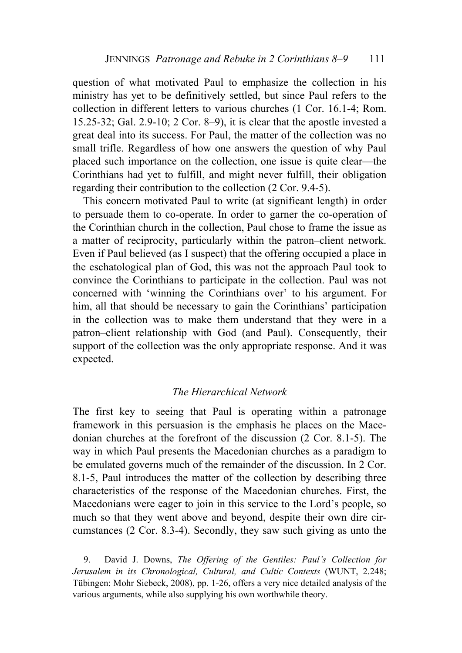question of what motivated Paul to emphasize the collection in his ministry has yet to be definitively settled, but since Paul refers to the collection in different letters to various churches (1 Cor. 16.1-4; Rom. 15.25-32; Gal. 2.9-10; 2 Cor. 8–9), it is clear that the apostle invested a great deal into its success. For Paul, the matter of the collection was no small trifle. Regardless of how one answers the question of why Paul placed such importance on the collection, one issue is quite clear—the Corinthians had yet to fulfill, and might never fulfill, their obligation regarding their contribution to the collection (2 Cor. 9.4-5).

This concern motivated Paul to write (at significant length) in order to persuade them to co-operate. In order to garner the co-operation of the Corinthian church in the collection, Paul chose to frame the issue as a matter of reciprocity, particularly within the patron–client network. Even if Paul believed (as I suspect) that the offering occupied a place in the eschatological plan of God, this was not the approach Paul took to convince the Corinthians to participate in the collection. Paul was not concerned with 'winning the Corinthians over' to his argument. For him, all that should be necessary to gain the Corinthians' participation in the collection was to make them understand that they were in a patron–client relationship with God (and Paul). Consequently, their support of the collection was the only appropriate response. And it was expected.

# *The Hierarchical Network*

The first key to seeing that Paul is operating within a patronage framework in this persuasion is the emphasis he places on the Macedonian churches at the forefront of the discussion (2 Cor. 8.1-5). The way in which Paul presents the Macedonian churches as a paradigm to be emulated governs much of the remainder of the discussion. In 2 Cor. 8.1-5, Paul introduces the matter of the collection by describing three characteristics of the response of the Macedonian churches. First, the Macedonians were eager to join in this service to the Lord's people, so much so that they went above and beyond, despite their own dire circumstances (2 Cor. 8.3-4). Secondly, they saw such giving as unto the

9. David J. Downs, *The Offering of the Gentiles: Paul's Collection for Jerusalem in its Chronological, Cultural, and Cultic Contexts* (WUNT, 2.248; Tübingen: Mohr Siebeck, 2008), pp. 1-26, offers a very nice detailed analysis of the various arguments, while also supplying his own worthwhile theory.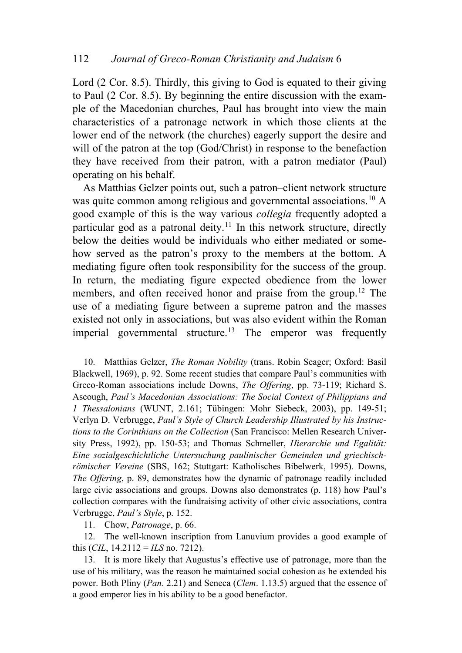Lord (2 Cor. 8.5). Thirdly, this giving to God is equated to their giving to Paul (2 Cor. 8.5). By beginning the entire discussion with the example of the Macedonian churches, Paul has brought into view the main characteristics of a patronage network in which those clients at the lower end of the network (the churches) eagerly support the desire and will of the patron at the top (God/Christ) in response to the benefaction they have received from their patron, with a patron mediator (Paul) operating on his behalf.

As Matthias Gelzer points out, such a patron–client network structure was quite common among religious and governmental associations.<sup>[10](#page-5-0)</sup> A good example of this is the way various *collegia* frequently adopted a particular god as a patronal deity.<sup>[11](#page-5-1)</sup> In this network structure, directly below the deities would be individuals who either mediated or somehow served as the patron's proxy to the members at the bottom. A mediating figure often took responsibility for the success of the group. In return, the mediating figure expected obedience from the lower members, and often received honor and praise from the group.<sup>[12](#page-5-2)</sup> The use of a mediating figure between a supreme patron and the masses existed not only in associations, but was also evident within the Roman imperial governmental structure.<sup>[13](#page-5-3)</sup> The emperor was frequently

<span id="page-5-0"></span>10. Matthias Gelzer, *The Roman Nobility* (trans. Robin Seager; Oxford: Basil Blackwell, 1969), p. 92. Some recent studies that compare Paul's communities with Greco-Roman associations include Downs, *The Offering*, pp. 73-119; Richard S. Ascough, *Paul's Macedonian Associations: The Social Context of Philippians and 1 Thessalonians* (WUNT, 2.161; Tübingen: Mohr Siebeck, 2003), pp. 149-51; Verlyn D. Verbrugge, *Paul's Style of Church Leadership Illustrated by his Instructions to the Corinthians on the Collection* (San Francisco: Mellen Research University Press, 1992), pp. 150-53; and Thomas Schmeller, *Hierarchie und Egalität: Eine sozialgeschichtliche Untersuchung paulinischer Gemeinden und griechischrömischer Vereine* (SBS, 162; Stuttgart: Katholisches Bibelwerk, 1995). Downs, *The Offering*, p. 89, demonstrates how the dynamic of patronage readily included large civic associations and groups. Downs also demonstrates (p. 118) how Paul's collection compares with the fundraising activity of other civic associations, contra Verbrugge, *Paul's Style*, p. 152.

11. Chow, *Patronage*, p. 66.

<span id="page-5-2"></span><span id="page-5-1"></span>12. The well-known inscription from Lanuvium provides a good example of this  $(CIL, 14.2112 = ILS$  no. 7212).

<span id="page-5-3"></span>13. It is more likely that Augustus's effective use of patronage, more than the use of his military, was the reason he maintained social cohesion as he extended his power. Both Pliny (*Pan.* 2.21) and Seneca (*Clem*. 1.13.5) argued that the essence of a good emperor lies in his ability to be a good benefactor.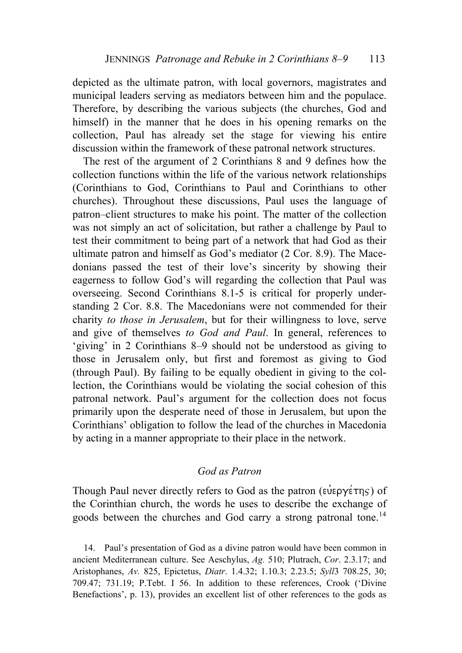depicted as the ultimate patron, with local governors, magistrates and municipal leaders serving as mediators between him and the populace. Therefore, by describing the various subjects (the churches, God and himself) in the manner that he does in his opening remarks on the collection, Paul has already set the stage for viewing his entire discussion within the framework of these patronal network structures.

The rest of the argument of 2 Corinthians 8 and 9 defines how the collection functions within the life of the various network relationships (Corinthians to God, Corinthians to Paul and Corinthians to other churches). Throughout these discussions, Paul uses the language of patron–client structures to make his point. The matter of the collection was not simply an act of solicitation, but rather a challenge by Paul to test their commitment to being part of a network that had God as their ultimate patron and himself as God's mediator (2 Cor. 8.9). The Macedonians passed the test of their love's sincerity by showing their eagerness to follow God's will regarding the collection that Paul was overseeing. Second Corinthians 8.1-5 is critical for properly understanding 2 Cor. 8.8. The Macedonians were not commended for their charity *to those in Jerusalem*, but for their willingness to love, serve and give of themselves *to God and Paul*. In general, references to 'giving' in 2 Corinthians 8–9 should not be understood as giving to those in Jerusalem only, but first and foremost as giving to God (through Paul). By failing to be equally obedient in giving to the collection, the Corinthians would be violating the social cohesion of this patronal network. Paul's argument for the collection does not focus primarily upon the desperate need of those in Jerusalem, but upon the Corinthians' obligation to follow the lead of the churches in Macedonia by acting in a manner appropriate to their place in the network.

# *God as Patron*

Though Paul never directly refers to God as the patron ( $\epsilon \nu \epsilon \rho \gamma \epsilon \tau \eta \varsigma$ ) of the Corinthian church, the words he uses to describe the exchange of goods between the churches and God carry a strong patronal tone.<sup>[14](#page-6-0)</sup>

<span id="page-6-0"></span>14. Paul's presentation of God as a divine patron would have been common in ancient Mediterranean culture. See Aeschylus, *Ag.* 510; Plutrach, *Cor*. 2.3.17; and Aristophanes, *Av.* 825, Epictetus, *Diatr*. 1.4.32; 1.10.3; 2.23.5; *Syll*3 708.25, 30; 709.47; 731.19; P.Tebt. I 56. In addition to these references, Crook ('Divine Benefactions', p. 13), provides an excellent list of other references to the gods as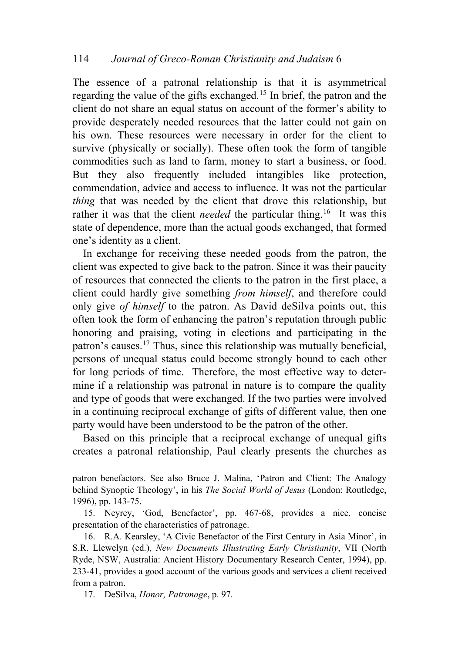The essence of a patronal relationship is that it is asymmetrical regarding the value of the gifts exchanged.[15](#page-7-0) In brief, the patron and the client do not share an equal status on account of the former's ability to provide desperately needed resources that the latter could not gain on his own. These resources were necessary in order for the client to survive (physically or socially). These often took the form of tangible commodities such as land to farm, money to start a business, or food. But they also frequently included intangibles like protection, commendation, advice and access to influence. It was not the particular *thing* that was needed by the client that drove this relationship, but rather it was that the client *needed* the particular thing.<sup>[16](#page-7-1)</sup> It was this state of dependence, more than the actual goods exchanged, that formed one's identity as a client.

In exchange for receiving these needed goods from the patron, the client was expected to give back to the patron. Since it was their paucity of resources that connected the clients to the patron in the first place, a client could hardly give something *from himself*, and therefore could only give *of himself* to the patron. As David deSilva points out, this often took the form of enhancing the patron's reputation through public honoring and praising, voting in elections and participating in the patron's causes.[17](#page-7-2) Thus, since this relationship was mutually beneficial, persons of unequal status could become strongly bound to each other for long periods of time. Therefore, the most effective way to determine if a relationship was patronal in nature is to compare the quality and type of goods that were exchanged. If the two parties were involved in a continuing reciprocal exchange of gifts of different value, then one party would have been understood to be the patron of the other.

Based on this principle that a reciprocal exchange of unequal gifts creates a patronal relationship, Paul clearly presents the churches as

patron benefactors. See also Bruce J. Malina, 'Patron and Client: The Analogy behind Synoptic Theology', in his *The Social World of Jesus* (London: Routledge, 1996), pp. 143-75.

<span id="page-7-0"></span>15. Neyrey, 'God, Benefactor', pp. 467-68, provides a nice, concise presentation of the characteristics of patronage.

<span id="page-7-1"></span>16. R.A. Kearsley, 'A Civic Benefactor of the First Century in Asia Minor', in S.R. Llewelyn (ed.), *New Documents Illustrating Early Christianity*, VII (North Ryde, NSW, Australia: Ancient History Documentary Research Center, 1994), pp. 233-41, provides a good account of the various goods and services a client received from a patron.

<span id="page-7-2"></span>17. DeSilva, *Honor, Patronage*, p. 97.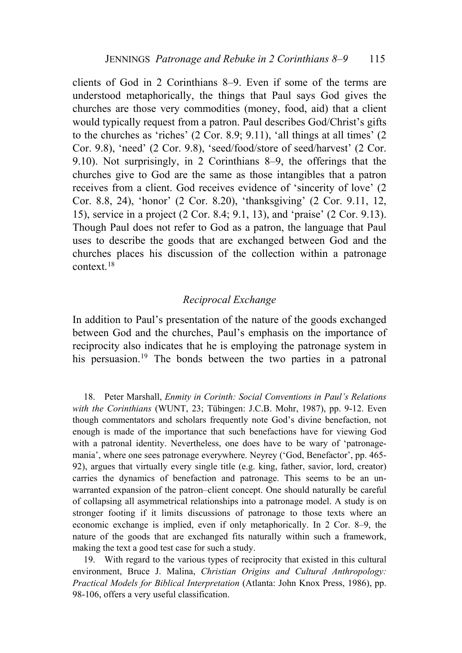clients of God in 2 Corinthians 8–9. Even if some of the terms are understood metaphorically, the things that Paul says God gives the churches are those very commodities (money, food, aid) that a client would typically request from a patron. Paul describes God/Christ's gifts to the churches as 'riches' (2 Cor. 8.9; 9.11), 'all things at all times' (2 Cor. 9.8), 'need' (2 Cor. 9.8), 'seed/food/store of seed/harvest' (2 Cor. 9.10). Not surprisingly, in 2 Corinthians 8–9, the offerings that the churches give to God are the same as those intangibles that a patron receives from a client. God receives evidence of 'sincerity of love' (2 Cor. 8.8, 24), 'honor' (2 Cor. 8.20), 'thanksgiving' (2 Cor. 9.11, 12, 15), service in a project (2 Cor. 8.4; 9.1, 13), and 'praise' (2 Cor. 9.13). Though Paul does not refer to God as a patron, the language that Paul uses to describe the goods that are exchanged between God and the churches places his discussion of the collection within a patronage context.[18](#page-8-0)

# *Reciprocal Exchange*

In addition to Paul's presentation of the nature of the goods exchanged between God and the churches, Paul's emphasis on the importance of reciprocity also indicates that he is employing the patronage system in his persuasion.<sup>[19](#page-8-1)</sup> The bonds between the two parties in a patronal

<span id="page-8-0"></span>18. Peter Marshall, *Enmity in Corinth: Social Conventions in Paul's Relations with the Corinthians* (WUNT, 23; Tübingen: J.C.B. Mohr, 1987), pp. 9-12. Even though commentators and scholars frequently note God's divine benefaction, not enough is made of the importance that such benefactions have for viewing God with a patronal identity. Nevertheless, one does have to be wary of 'patronagemania', where one sees patronage everywhere. Neyrey ('God, Benefactor', pp. 465- 92), argues that virtually every single title (e.g. king, father, savior, lord, creator) carries the dynamics of benefaction and patronage. This seems to be an unwarranted expansion of the patron–client concept. One should naturally be careful of collapsing all asymmetrical relationships into a patronage model. A study is on stronger footing if it limits discussions of patronage to those texts where an economic exchange is implied, even if only metaphorically. In 2 Cor. 8–9, the nature of the goods that are exchanged fits naturally within such a framework, making the text a good test case for such a study.

<span id="page-8-1"></span>19. With regard to the various types of reciprocity that existed in this cultural environment, Bruce J. Malina, *Christian Origins and Cultural Anthropology: Practical Models for Biblical Interpretation* (Atlanta: John Knox Press, 1986), pp. 98-106, offers a very useful classification.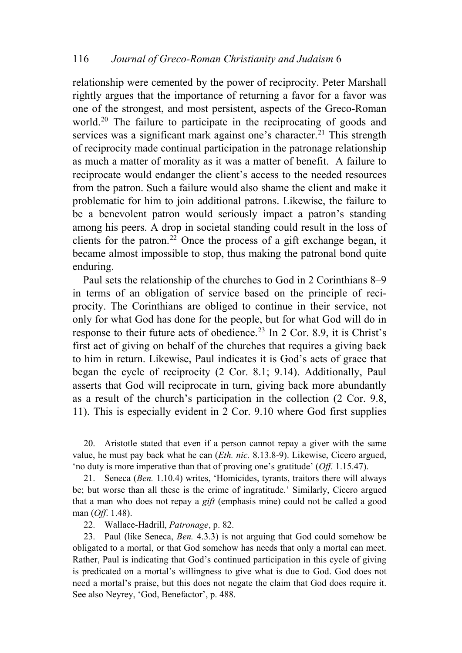relationship were cemented by the power of reciprocity. Peter Marshall rightly argues that the importance of returning a favor for a favor was one of the strongest, and most persistent, aspects of the Greco-Roman world.<sup>[20](#page-9-0)</sup> The failure to participate in the reciprocating of goods and services was a significant mark against one's character.<sup>[21](#page-9-1)</sup> This strength of reciprocity made continual participation in the patronage relationship as much a matter of morality as it was a matter of benefit. A failure to reciprocate would endanger the client's access to the needed resources from the patron. Such a failure would also shame the client and make it problematic for him to join additional patrons. Likewise, the failure to be a benevolent patron would seriously impact a patron's standing among his peers. A drop in societal standing could result in the loss of clients for the patron.<sup>[22](#page-9-2)</sup> Once the process of a gift exchange began, it became almost impossible to stop, thus making the patronal bond quite enduring.

Paul sets the relationship of the churches to God in 2 Corinthians 8–9 in terms of an obligation of service based on the principle of reciprocity. The Corinthians are obliged to continue in their service, not only for what God has done for the people, but for what God will do in response to their future acts of obedience.<sup>[23](#page-9-3)</sup> In 2 Cor. 8.9, it is Christ's first act of giving on behalf of the churches that requires a giving back to him in return. Likewise, Paul indicates it is God's acts of grace that began the cycle of reciprocity (2 Cor. 8.1; 9.14). Additionally, Paul asserts that God will reciprocate in turn, giving back more abundantly as a result of the church's participation in the collection (2 Cor. 9.8, 11). This is especially evident in 2 Cor. 9.10 where God first supplies

<span id="page-9-0"></span>20. Aristotle stated that even if a person cannot repay a giver with the same value, he must pay back what he can (*Eth. nic.* 8.13.8-9). Likewise, Cicero argued, 'no duty is more imperative than that of proving one's gratitude' (*Off*. 1.15.47).

<span id="page-9-1"></span>21. Seneca (*Ben.* 1.10.4) writes, 'Homicides, tyrants, traitors there will always be; but worse than all these is the crime of ingratitude.' Similarly, Cicero argued that a man who does not repay a *gift* (emphasis mine) could not be called a good man (*Off*. 1.48).

22. Wallace-Hadrill, *Patronage*, p. 82.

<span id="page-9-3"></span><span id="page-9-2"></span>23. Paul (like Seneca, *Ben.* 4.3.3) is not arguing that God could somehow be obligated to a mortal, or that God somehow has needs that only a mortal can meet. Rather, Paul is indicating that God's continued participation in this cycle of giving is predicated on a mortal's willingness to give what is due to God. God does not need a mortal's praise, but this does not negate the claim that God does require it. See also Neyrey, 'God, Benefactor', p. 488.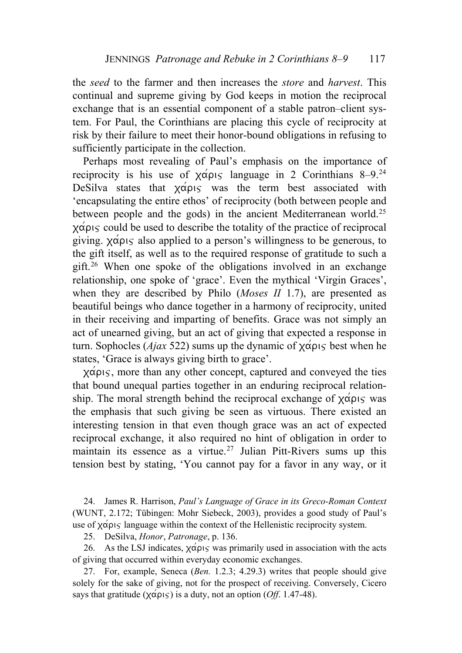the *seed* to the farmer and then increases the *store* and *harvest*. This continual and supreme giving by God keeps in motion the reciprocal exchange that is an essential component of a stable patron–client system. For Paul, the Corinthians are placing this cycle of reciprocity at risk by their failure to meet their honor-bound obligations in refusing to sufficiently participate in the collection.

Perhaps most revealing of Paul's emphasis on the importance of reciprocity is his use of  $\chi \alpha \rho \beta$  language in 2 Corinthians 8–9.<sup>[24](#page-10-0)</sup> DeSilva states that  $\chi \alpha' \rho \zeta$  was the term best associated with 'encapsulating the entire ethos' of reciprocity (both between people and between people and the gods) in the ancient Mediterranean world.<sup>[25](#page-10-1)</sup>  $x\acute{\alpha}$  $\acute{\alpha}$  could be used to describe the totality of the practice of reciprocal giving.  $\chi \alpha \rho \nu_S$  also applied to a person's willingness to be generous, to the gift itself, as well as to the required response of gratitude to such a gift.[26](#page-10-2) When one spoke of the obligations involved in an exchange relationship, one spoke of 'grace'. Even the mythical 'Virgin Graces', when they are described by Philo (*Moses II* 1.7), are presented as beautiful beings who dance together in a harmony of reciprocity, united in their receiving and imparting of benefits. Grace was not simply an act of unearned giving, but an act of giving that expected a response in turn. Sophocles (*Ajax* 522) sums up the dynamic of  $x \alpha \rho_1 s$  best when he states, 'Grace is always giving birth to grace'.

 $x\acute{\alpha}$ pis, more than any other concept, captured and conveyed the ties that bound unequal parties together in an enduring reciprocal relationship. The moral strength behind the reciprocal exchange of  $\chi \alpha \rho_1 \varsigma$  was the emphasis that such giving be seen as virtuous. There existed an interesting tension in that even though grace was an act of expected reciprocal exchange, it also required no hint of obligation in order to maintain its essence as a virtue.<sup>[27](#page-10-3)</sup> Julian Pitt-Rivers sums up this tension best by stating, 'You cannot pay for a favor in any way, or it

<span id="page-10-0"></span>24. James R. Harrison, *Paul's Language of Grace in its Greco-Roman Context* (WUNT, 2.172; Tübingen: Mohr Siebeck, 2003), provides a good study of Paul's use of  $\chi \alpha \rho_1 \varsigma$  language within the context of the Hellenistic reciprocity system.

25. DeSilva, *Honor*, *Patronage*, p. 136.

<span id="page-10-2"></span><span id="page-10-1"></span>26. As the LSJ indicates,  $\chi \alpha \rho_1 \varsigma$  was primarily used in association with the acts of giving that occurred within everyday economic exchanges.

<span id="page-10-3"></span>27. For, example, Seneca (*Ben.* 1.2.3; 4.29.3) writes that people should give solely for the sake of giving, not for the prospect of receiving. Conversely, Cicero says that gratitude ( $\chi \alpha \rho_1 \varsigma$ ) is a duty, not an option (*Off.* 1.47-48).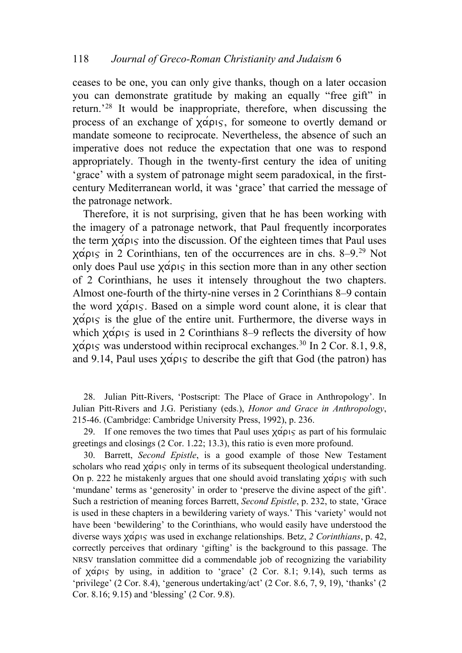ceases to be one, you can only give thanks, though on a later occasion you can demonstrate gratitude by making an equally "free gift" in return.'[28](#page-11-0) It would be inappropriate, therefore, when discussing the process of an exchange of  $\chi \alpha \rho_1$  for someone to overtly demand or mandate someone to reciprocate. Nevertheless, the absence of such an imperative does not reduce the expectation that one was to respond appropriately. Though in the twenty-first century the idea of uniting 'grace' with a system of patronage might seem paradoxical, in the firstcentury Mediterranean world, it was 'grace' that carried the message of the patronage network.

Therefore, it is not surprising, given that he has been working with the imagery of a patronage network, that Paul frequently incorporates the term  $x\acute{\alpha}$  $\rho_1\varsigma$  into the discussion. Of the eighteen times that Paul uses  $\chi \alpha \rho_1$  in 2 Corinthians, ten of the occurrences are in chs. 8–9.<sup>[29](#page-11-1)</sup> Not only does Paul use  $x \alpha' \rho \in \mathcal{S}$  in this section more than in any other section of 2 Corinthians, he uses it intensely throughout the two chapters. Almost one-fourth of the thirty-nine verses in 2 Corinthians 8–9 contain the word  $x \alpha \rho \nu \varsigma$ . Based on a simple word count alone, it is clear that  $x\acute{\alpha}$  p is the glue of the entire unit. Furthermore, the diverse ways in which  $\chi \alpha \rho_1 \varsigma$  is used in 2 Corinthians 8–9 reflects the diversity of how  $x\alpha\rho$  was understood within reciprocal exchanges.<sup>[30](#page-11-2)</sup> In 2 Cor. 8.1, 9.8, and 9.14, Paul uses  $x \alpha' \rho \in \sigma$  to describe the gift that God (the patron) has

<span id="page-11-0"></span>28. Julian Pitt-Rivers, 'Postscript: The Place of Grace in Anthropology'. In Julian Pitt-Rivers and J.G. Peristiany (eds.), *Honor and Grace in Anthropology*, 215-46. (Cambridge: Cambridge University Press, 1992), p. 236.

<span id="page-11-1"></span>29. If one removes the two times that Paul uses  $\chi \alpha \rho_1 \varsigma$  as part of his formulaic greetings and closings (2 Cor. 1.22; 13.3), this ratio is even more profound.

<span id="page-11-2"></span>30. Barrett, *Second Epistle*, is a good example of those New Testament scholars who read  $\chi \alpha \rho \nu \varsigma$  only in terms of its subsequent theological understanding. On p. 222 he mistakenly argues that one should avoid translating  $\chi \alpha \rho_1 \varsigma$  with such 'mundane' terms as 'generosity' in order to 'preserve the divine aspect of the gift'. Such a restriction of meaning forces Barrett, *Second Epistle*, p. 232, to state, 'Grace is used in these chapters in a bewildering variety of ways.' This 'variety' would not have been 'bewildering' to the Corinthians, who would easily have understood the diverse ways  $\chi \acute{\alpha} \rho_1 \varsigma$  was used in exchange relationships. Betz, 2 Corinthians, p. 42, correctly perceives that ordinary 'gifting' is the background to this passage. The NRSV translation committee did a commendable job of recognizing the variability of  $\chi \alpha \rho_1$  by using, in addition to 'grace' (2 Cor. 8.1; 9.14), such terms as 'privilege' (2 Cor. 8.4), 'generous undertaking/act' (2 Cor. 8.6, 7, 9, 19), 'thanks' (2 Cor. 8.16; 9.15) and 'blessing' (2 Cor. 9.8).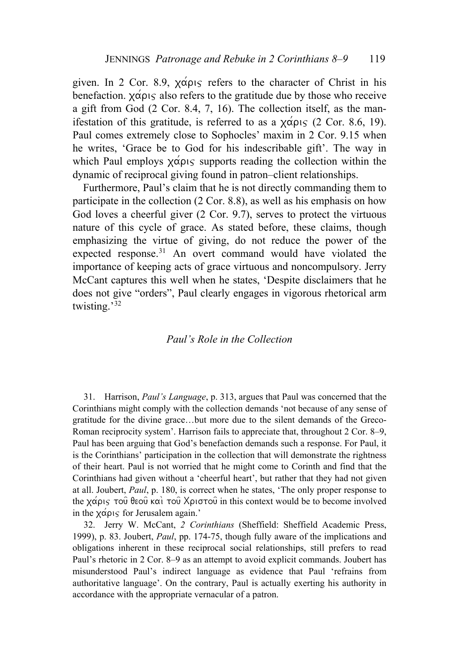given. In 2 Cor. 8.9,  $\chi \alpha \rho_0$  refers to the character of Christ in his benefaction.  $\chi \alpha \rho_1 \varsigma$  also refers to the gratitude due by those who receive a gift from God (2 Cor. 8.4, 7, 16). The collection itself, as the manifestation of this gratitude, is referred to as a  $\chi \alpha \rho \nu s$  (2 Cor. 8.6, 19). Paul comes extremely close to Sophocles' maxim in 2 Cor. 9.15 when he writes, 'Grace be to God for his indescribable gift'. The way in which Paul employs  $\chi \alpha \rho_1 \varsigma$  supports reading the collection within the dynamic of reciprocal giving found in patron–client relationships.

Furthermore, Paul's claim that he is not directly commanding them to participate in the collection (2 Cor. 8.8), as well as his emphasis on how God loves a cheerful giver (2 Cor. 9.7), serves to protect the virtuous nature of this cycle of grace. As stated before, these claims, though emphasizing the virtue of giving, do not reduce the power of the expected response.<sup>[31](#page-12-0)</sup> An overt command would have violated the importance of keeping acts of grace virtuous and noncompulsory. Jerry McCant captures this well when he states, 'Despite disclaimers that he does not give "orders", Paul clearly engages in vigorous rhetorical arm twisting.'[32](#page-12-1)

# *Paul's Role in the Collection*

<span id="page-12-0"></span>31. Harrison, *Paul's Language*, p. 313, argues that Paul was concerned that the Corinthians might comply with the collection demands 'not because of any sense of gratitude for the divine grace…but more due to the silent demands of the Greco-Roman reciprocity system'. Harrison fails to appreciate that, throughout 2 Cor. 8–9, Paul has been arguing that God's benefaction demands such a response. For Paul, it is the Corinthians' participation in the collection that will demonstrate the rightness of their heart. Paul is not worried that he might come to Corinth and find that the Corinthians had given without a 'cheerful heart', but rather that they had not given at all. Joubert, *Paul*, p. 180, is correct when he states, 'The only proper response to the  $\chi \alpha \rho_1 \varsigma$  του θεου και του Χριστου in this context would be to become involved in the  $x \alpha \rho \nu \varsigma$  for Jerusalem again.'

<span id="page-12-1"></span>32. Jerry W. McCant, *2 Corinthians* (Sheffield: Sheffield Academic Press, 1999), p. 83. Joubert, *Paul*, pp. 174-75, though fully aware of the implications and obligations inherent in these reciprocal social relationships, still prefers to read Paul's rhetoric in 2 Cor. 8–9 as an attempt to avoid explicit commands. Joubert has misunderstood Paul's indirect language as evidence that Paul 'refrains from authoritative language'. On the contrary, Paul is actually exerting his authority in accordance with the appropriate vernacular of a patron.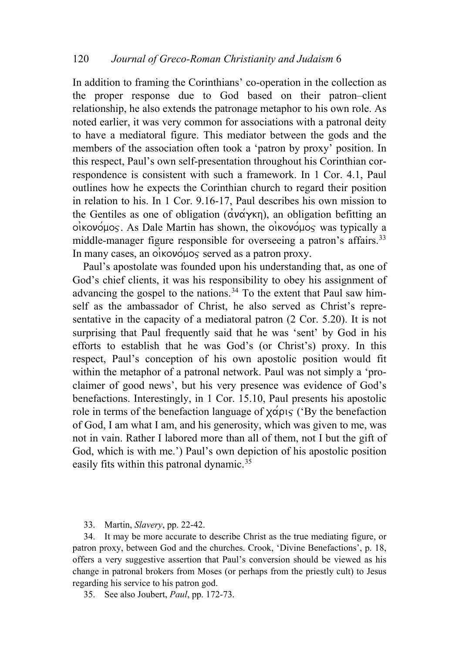In addition to framing the Corinthians' co-operation in the collection as the proper response due to God based on their patron–client relationship, he also extends the patronage metaphor to his own role. As noted earlier, it was very common for associations with a patronal deity to have a mediatoral figure. This mediator between the gods and the members of the association often took a 'patron by proxy' position. In this respect, Paul's own self-presentation throughout his Corinthian correspondence is consistent with such a framework. In 1 Cor. 4.1, Paul outlines how he expects the Corinthian church to regard their position in relation to his. In 1 Cor. 9.16-17, Paul describes his own mission to the Gentiles as one of obligation ( $\alpha \nu \alpha \gamma \kappa \eta$ ), an obligation befitting an  $o$ *ikovo* $\mu$ os. As Dale Martin has shown, the oikovo $\mu$ os was typically a middle-manager figure responsible for overseeing a patron's affairs.<sup>[33](#page-13-0)</sup> In many cases, an  $o$ *i* kovoµos served as a patron proxy.

Paul's apostolate was founded upon his understanding that, as one of God's chief clients, it was his responsibility to obey his assignment of advancing the gospel to the nations.<sup>[34](#page-13-1)</sup> To the extent that Paul saw himself as the ambassador of Christ, he also served as Christ's representative in the capacity of a mediatoral patron (2 Cor. 5.20). It is not surprising that Paul frequently said that he was 'sent' by God in his efforts to establish that he was God's (or Christ's) proxy. In this respect, Paul's conception of his own apostolic position would fit within the metaphor of a patronal network. Paul was not simply a 'proclaimer of good news', but his very presence was evidence of God's benefactions. Interestingly, in 1 Cor. 15.10, Paul presents his apostolic role in terms of the benefaction language of  $x\acute{\alpha}$  $p\acute{\alpha}$ ; ('By the benefaction of God, I am what I am, and his generosity, which was given to me, was not in vain. Rather I labored more than all of them, not I but the gift of God, which is with me.') Paul's own depiction of his apostolic position easily fits within this patronal dynamic.<sup>[35](#page-13-2)</sup>

33. Martin, *Slavery*, pp. 22-42.

<span id="page-13-1"></span><span id="page-13-0"></span>34. It may be more accurate to describe Christ as the true mediating figure, or patron proxy, between God and the churches. Crook, 'Divine Benefactions', p. 18, offers a very suggestive assertion that Paul's conversion should be viewed as his change in patronal brokers from Moses (or perhaps from the priestly cult) to Jesus regarding his service to his patron god.

<span id="page-13-2"></span>35. See also Joubert, *Paul*, pp. 172-73.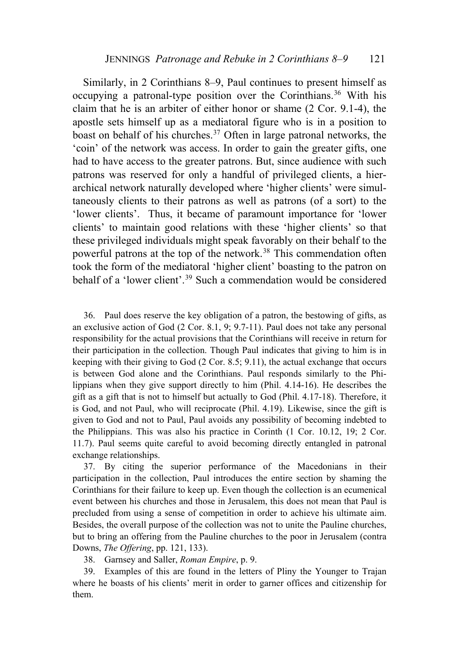Similarly, in 2 Corinthians 8–9, Paul continues to present himself as occupying a patronal-type position over the Corinthians.<sup>[36](#page-14-0)</sup> With his claim that he is an arbiter of either honor or shame (2 Cor. 9.1-4), the apostle sets himself up as a mediatoral figure who is in a position to boast on behalf of his churches.<sup>[37](#page-14-1)</sup> Often in large patronal networks, the 'coin' of the network was access. In order to gain the greater gifts, one had to have access to the greater patrons. But, since audience with such patrons was reserved for only a handful of privileged clients, a hierarchical network naturally developed where 'higher clients' were simultaneously clients to their patrons as well as patrons (of a sort) to the 'lower clients'. Thus, it became of paramount importance for 'lower clients' to maintain good relations with these 'higher clients' so that these privileged individuals might speak favorably on their behalf to the powerful patrons at the top of the network.<sup>[38](#page-14-2)</sup> This commendation often took the form of the mediatoral 'higher client' boasting to the patron on behalf of a 'lower client'.<sup>[39](#page-14-3)</sup> Such a commendation would be considered

<span id="page-14-0"></span>36. Paul does reserve the key obligation of a patron, the bestowing of gifts, as an exclusive action of God (2 Cor. 8.1, 9; 9.7-11). Paul does not take any personal responsibility for the actual provisions that the Corinthians will receive in return for their participation in the collection. Though Paul indicates that giving to him is in keeping with their giving to God (2 Cor. 8.5; 9.11), the actual exchange that occurs is between God alone and the Corinthians. Paul responds similarly to the Philippians when they give support directly to him (Phil. 4.14-16). He describes the gift as a gift that is not to himself but actually to God (Phil. 4.17-18). Therefore, it is God, and not Paul, who will reciprocate (Phil. 4.19). Likewise, since the gift is given to God and not to Paul, Paul avoids any possibility of becoming indebted to the Philippians. This was also his practice in Corinth (1 Cor. 10.12, 19; 2 Cor. 11.7). Paul seems quite careful to avoid becoming directly entangled in patronal exchange relationships.

<span id="page-14-1"></span>37. By citing the superior performance of the Macedonians in their participation in the collection, Paul introduces the entire section by shaming the Corinthians for their failure to keep up. Even though the collection is an ecumenical event between his churches and those in Jerusalem, this does not mean that Paul is precluded from using a sense of competition in order to achieve his ultimate aim. Besides, the overall purpose of the collection was not to unite the Pauline churches, but to bring an offering from the Pauline churches to the poor in Jerusalem (contra Downs, *The Offering*, pp. 121, 133).

38. Garnsey and Saller, *Roman Empire*, p. 9.

<span id="page-14-3"></span><span id="page-14-2"></span>39. Examples of this are found in the letters of Pliny the Younger to Trajan where he boasts of his clients' merit in order to garner offices and citizenship for them.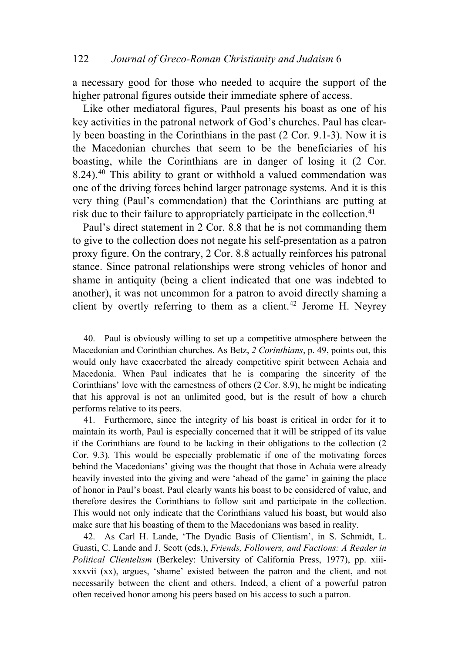a necessary good for those who needed to acquire the support of the higher patronal figures outside their immediate sphere of access.

Like other mediatoral figures, Paul presents his boast as one of his key activities in the patronal network of God's churches. Paul has clearly been boasting in the Corinthians in the past (2 Cor. 9.1-3). Now it is the Macedonian churches that seem to be the beneficiaries of his boasting, while the Corinthians are in danger of losing it (2 Cor. 8.24).<sup>[40](#page-15-0)</sup> This ability to grant or withhold a valued commendation was one of the driving forces behind larger patronage systems. And it is this very thing (Paul's commendation) that the Corinthians are putting at risk due to their failure to appropriately participate in the collection.<sup>41</sup>

Paul's direct statement in 2 Cor. 8.8 that he is not commanding them to give to the collection does not negate his self-presentation as a patron proxy figure. On the contrary, 2 Cor. 8.8 actually reinforces his patronal stance. Since patronal relationships were strong vehicles of honor and shame in antiquity (being a client indicated that one was indebted to another), it was not uncommon for a patron to avoid directly shaming a client by overtly referring to them as a client.<sup>[42](#page-15-1)</sup> Jerome H. Neyrey

<span id="page-15-0"></span>40. Paul is obviously willing to set up a competitive atmosphere between the Macedonian and Corinthian churches. As Betz, *2 Corinthians*, p. 49, points out, this would only have exacerbated the already competitive spirit between Achaia and Macedonia. When Paul indicates that he is comparing the sincerity of the Corinthians' love with the earnestness of others (2 Cor. 8.9), he might be indicating that his approval is not an unlimited good, but is the result of how a church performs relative to its peers.

41. Furthermore, since the integrity of his boast is critical in order for it to maintain its worth, Paul is especially concerned that it will be stripped of its value if the Corinthians are found to be lacking in their obligations to the collection (2 Cor. 9.3). This would be especially problematic if one of the motivating forces behind the Macedonians' giving was the thought that those in Achaia were already heavily invested into the giving and were 'ahead of the game' in gaining the place of honor in Paul's boast. Paul clearly wants his boast to be considered of value, and therefore desires the Corinthians to follow suit and participate in the collection. This would not only indicate that the Corinthians valued his boast, but would also make sure that his boasting of them to the Macedonians was based in reality.

<span id="page-15-1"></span>42. As Carl H. Lande, 'The Dyadic Basis of Clientism', in S. Schmidt, L. Guasti, C. Lande and J. Scott (eds.), *Friends, Followers, and Factions: A Reader in Political Clientelism* (Berkeley: University of California Press, 1977), pp. xiiixxxvii (xx), argues, 'shame' existed between the patron and the client, and not necessarily between the client and others. Indeed, a client of a powerful patron often received honor among his peers based on his access to such a patron.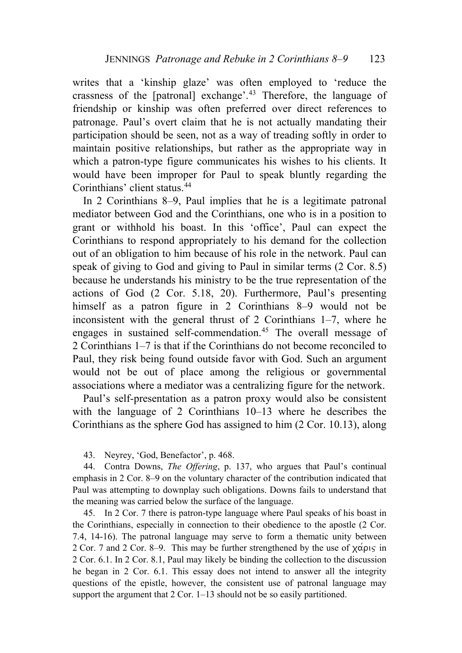writes that a 'kinship glaze' was often employed to 'reduce the crassness of the [patronal] exchange'.[43](#page-16-0) Therefore, the language of friendship or kinship was often preferred over direct references to patronage. Paul's overt claim that he is not actually mandating their participation should be seen, not as a way of treading softly in order to maintain positive relationships, but rather as the appropriate way in which a patron-type figure communicates his wishes to his clients. It would have been improper for Paul to speak bluntly regarding the Corinthians' client status.[44](#page-16-1)

In 2 Corinthians 8–9, Paul implies that he is a legitimate patronal mediator between God and the Corinthians, one who is in a position to grant or withhold his boast. In this 'office', Paul can expect the Corinthians to respond appropriately to his demand for the collection out of an obligation to him because of his role in the network. Paul can speak of giving to God and giving to Paul in similar terms (2 Cor. 8.5) because he understands his ministry to be the true representation of the actions of God (2 Cor. 5.18, 20). Furthermore, Paul's presenting himself as a patron figure in 2 Corinthians 8–9 would not be inconsistent with the general thrust of 2 Corinthians 1–7, where he engages in sustained self-commendation.<sup>[45](#page-16-2)</sup> The overall message of 2 Corinthians 1–7 is that if the Corinthians do not become reconciled to Paul, they risk being found outside favor with God. Such an argument would not be out of place among the religious or governmental associations where a mediator was a centralizing figure for the network.

Paul's self-presentation as a patron proxy would also be consistent with the language of 2 Corinthians 10–13 where he describes the Corinthians as the sphere God has assigned to him (2 Cor. 10.13), along

43. Neyrey, 'God, Benefactor', p. 468.

<span id="page-16-1"></span><span id="page-16-0"></span>44. Contra Downs, *The Offering*, p. 137, who argues that Paul's continual emphasis in 2 Cor. 8–9 on the voluntary character of the contribution indicated that Paul was attempting to downplay such obligations. Downs fails to understand that the meaning was carried below the surface of the language.

<span id="page-16-2"></span>45. In 2 Cor. 7 there is patron-type language where Paul speaks of his boast in the Corinthians, especially in connection to their obedience to the apostle (2 Cor. 7.4, 14-16). The patronal language may serve to form a thematic unity between 2 Cor. 7 and 2 Cor. 8–9. This may be further strengthened by the use of  $\chi \alpha \rho_1 \varsigma$  in 2 Cor. 6.1. In 2 Cor. 8.1, Paul may likely be binding the collection to the discussion he began in 2 Cor. 6.1. This essay does not intend to answer all the integrity questions of the epistle, however, the consistent use of patronal language may support the argument that 2 Cor. 1–13 should not be so easily partitioned.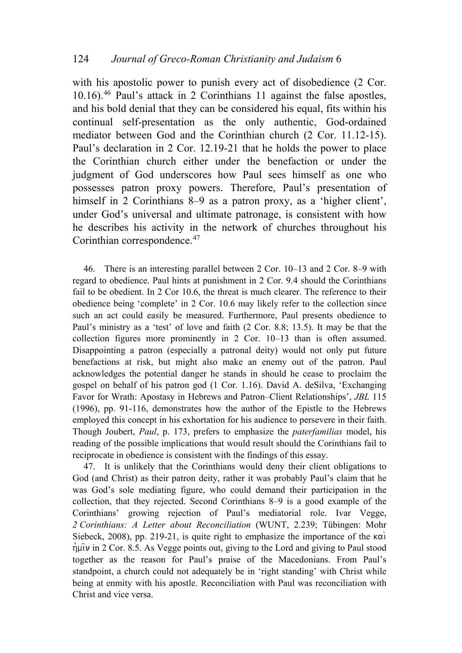with his apostolic power to punish every act of disobedience (2 Cor. 10.16).[46](#page-17-0) Paul's attack in 2 Corinthians 11 against the false apostles, and his bold denial that they can be considered his equal, fits within his continual self-presentation as the only authentic, God-ordained mediator between God and the Corinthian church (2 Cor. 11.12-15). Paul's declaration in 2 Cor. 12.19-21 that he holds the power to place the Corinthian church either under the benefaction or under the judgment of God underscores how Paul sees himself as one who possesses patron proxy powers. Therefore, Paul's presentation of himself in 2 Corinthians 8–9 as a patron proxy, as a 'higher client', under God's universal and ultimate patronage, is consistent with how he describes his activity in the network of churches throughout his Corinthian correspondence.[47](#page-17-1)

<span id="page-17-0"></span>46. There is an interesting parallel between 2 Cor. 10–13 and 2 Cor. 8–9 with regard to obedience. Paul hints at punishment in 2 Cor. 9.4 should the Corinthians fail to be obedient. In 2 Cor 10.6, the threat is much clearer. The reference to their obedience being 'complete' in 2 Cor. 10.6 may likely refer to the collection since such an act could easily be measured. Furthermore, Paul presents obedience to Paul's ministry as a 'test' of love and faith (2 Cor. 8.8; 13.5). It may be that the collection figures more prominently in 2 Cor. 10–13 than is often assumed. Disappointing a patron (especially a patronal deity) would not only put future benefactions at risk, but might also make an enemy out of the patron. Paul acknowledges the potential danger he stands in should he cease to proclaim the gospel on behalf of his patron god (1 Cor. 1.16). David A. deSilva, 'Exchanging Favor for Wrath: Apostasy in Hebrews and Patron–Client Relationships', *JBL* 115 (1996), pp. 91-116, demonstrates how the author of the Epistle to the Hebrews employed this concept in his exhortation for his audience to persevere in their faith. Though Joubert, *Paul*, p. 173, prefers to emphasize the *paterfamilias* model, his reading of the possible implications that would result should the Corinthians fail to reciprocate in obedience is consistent with the findings of this essay.

<span id="page-17-1"></span>47. It is unlikely that the Corinthians would deny their client obligations to God (and Christ) as their patron deity, rather it was probably Paul's claim that he was God's sole mediating figure, who could demand their participation in the collection, that they rejected. Second Corinthians 8–9 is a good example of the Corinthians' growing rejection of Paul's mediatorial role. Ivar Vegge, *2 Corinthians: A Letter about Reconciliation* (WUNT, 2.239; Tübingen: Mohr Siebeck, 2008), pp. 219-21, is quite right to emphasize the importance of the  $\kappa \alpha$  $\eta$ u $\tilde{\mu}$  in 2 Cor. 8.5. As Vegge points out, giving to the Lord and giving to Paul stood together as the reason for Paul's praise of the Macedonians. From Paul's standpoint, a church could not adequately be in 'right standing' with Christ while being at enmity with his apostle. Reconciliation with Paul was reconciliation with Christ and vice versa.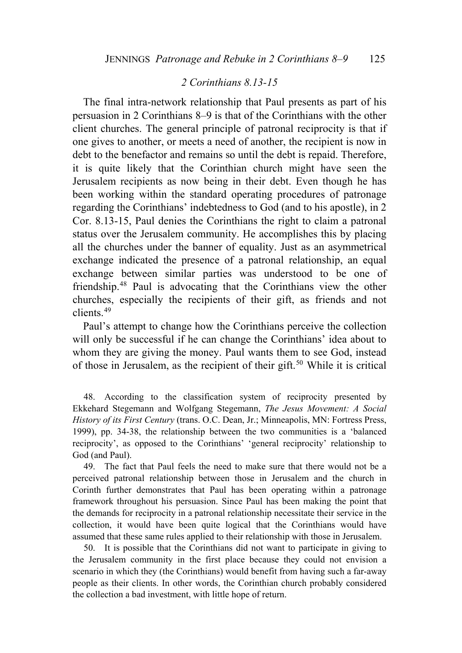# *2 Corinthians 8.13-15*

 The final intra-network relationship that Paul presents as part of his persuasion in 2 Corinthians 8–9 is that of the Corinthians with the other client churches. The general principle of patronal reciprocity is that if one gives to another, or meets a need of another, the recipient is now in debt to the benefactor and remains so until the debt is repaid. Therefore, it is quite likely that the Corinthian church might have seen the Jerusalem recipients as now being in their debt. Even though he has been working within the standard operating procedures of patronage regarding the Corinthians' indebtedness to God (and to his apostle), in 2 Cor. 8.13-15, Paul denies the Corinthians the right to claim a patronal status over the Jerusalem community. He accomplishes this by placing all the churches under the banner of equality. Just as an asymmetrical exchange indicated the presence of a patronal relationship, an equal exchange between similar parties was understood to be one of friendship.[48](#page-18-0) Paul is advocating that the Corinthians view the other churches, especially the recipients of their gift, as friends and not clients.[49](#page-18-1)

Paul's attempt to change how the Corinthians perceive the collection will only be successful if he can change the Corinthians' idea about to whom they are giving the money. Paul wants them to see God, instead of those in Jerusalem, as the recipient of their gift.<sup>[50](#page-18-2)</sup> While it is critical

<span id="page-18-0"></span>48. According to the classification system of reciprocity presented by Ekkehard Stegemann and Wolfgang Stegemann, *The Jesus Movement: A Social History of its First Century* (trans. O.C. Dean, Jr.; Minneapolis, MN: Fortress Press, 1999), pp. 34-38, the relationship between the two communities is a 'balanced reciprocity', as opposed to the Corinthians' 'general reciprocity' relationship to God (and Paul).

<span id="page-18-1"></span>49. The fact that Paul feels the need to make sure that there would not be a perceived patronal relationship between those in Jerusalem and the church in Corinth further demonstrates that Paul has been operating within a patronage framework throughout his persuasion. Since Paul has been making the point that the demands for reciprocity in a patronal relationship necessitate their service in the collection, it would have been quite logical that the Corinthians would have assumed that these same rules applied to their relationship with those in Jerusalem.

<span id="page-18-2"></span>50. It is possible that the Corinthians did not want to participate in giving to the Jerusalem community in the first place because they could not envision a scenario in which they (the Corinthians) would benefit from having such a far-away people as their clients. In other words, the Corinthian church probably considered the collection a bad investment, with little hope of return.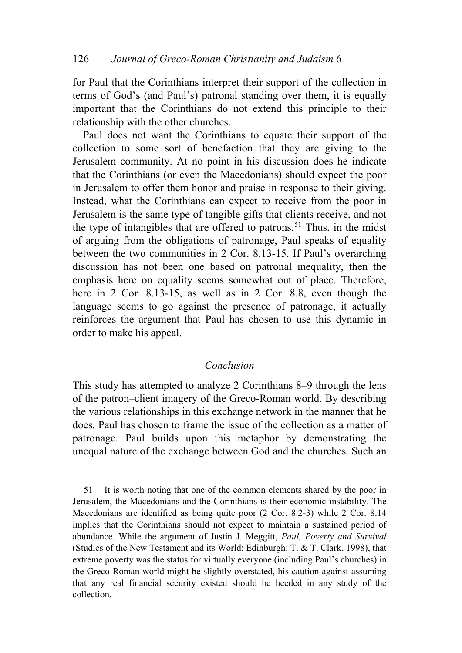for Paul that the Corinthians interpret their support of the collection in terms of God's (and Paul's) patronal standing over them, it is equally important that the Corinthians do not extend this principle to their relationship with the other churches.

Paul does not want the Corinthians to equate their support of the collection to some sort of benefaction that they are giving to the Jerusalem community. At no point in his discussion does he indicate that the Corinthians (or even the Macedonians) should expect the poor in Jerusalem to offer them honor and praise in response to their giving. Instead, what the Corinthians can expect to receive from the poor in Jerusalem is the same type of tangible gifts that clients receive, and not the type of intangibles that are offered to patrons.<sup>[51](#page-19-0)</sup> Thus, in the midst of arguing from the obligations of patronage, Paul speaks of equality between the two communities in 2 Cor. 8.13-15. If Paul's overarching discussion has not been one based on patronal inequality, then the emphasis here on equality seems somewhat out of place. Therefore, here in 2 Cor. 8.13-15, as well as in 2 Cor. 8.8, even though the language seems to go against the presence of patronage, it actually reinforces the argument that Paul has chosen to use this dynamic in order to make his appeal.

# *Conclusion*

This study has attempted to analyze 2 Corinthians 8–9 through the lens of the patron–client imagery of the Greco-Roman world. By describing the various relationships in this exchange network in the manner that he does, Paul has chosen to frame the issue of the collection as a matter of patronage. Paul builds upon this metaphor by demonstrating the unequal nature of the exchange between God and the churches. Such an

<span id="page-19-0"></span>51. It is worth noting that one of the common elements shared by the poor in Jerusalem, the Macedonians and the Corinthians is their economic instability. The Macedonians are identified as being quite poor (2 Cor. 8.2-3) while 2 Cor. 8.14 implies that the Corinthians should not expect to maintain a sustained period of abundance. While the argument of Justin J. Meggitt, *Paul, Poverty and Survival* (Studies of the New Testament and its World; Edinburgh: T. & T. Clark, 1998), that extreme poverty was the status for virtually everyone (including Paul's churches) in the Greco-Roman world might be slightly overstated, his caution against assuming that any real financial security existed should be heeded in any study of the collection.